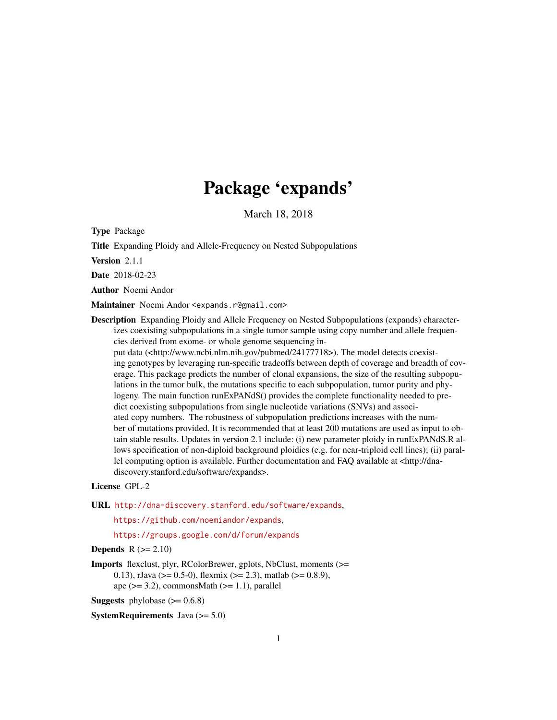# Package 'expands'

March 18, 2018

Type Package

Title Expanding Ploidy and Allele-Frequency on Nested Subpopulations

Version 2.1.1

Date 2018-02-23

Author Noemi Andor

Maintainer Noemi Andor <expands.r@gmail.com>

Description Expanding Ploidy and Allele Frequency on Nested Subpopulations (expands) characterizes coexisting subpopulations in a single tumor sample using copy number and allele frequencies derived from exome- or whole genome sequencing in-

put data (<http://www.ncbi.nlm.nih.gov/pubmed/24177718>). The model detects coexisting genotypes by leveraging run-specific tradeoffs between depth of coverage and breadth of coverage. This package predicts the number of clonal expansions, the size of the resulting subpopulations in the tumor bulk, the mutations specific to each subpopulation, tumor purity and phylogeny. The main function runExPANdS() provides the complete functionality needed to predict coexisting subpopulations from single nucleotide variations (SNVs) and associated copy numbers. The robustness of subpopulation predictions increases with the number of mutations provided. It is recommended that at least 200 mutations are used as input to obtain stable results. Updates in version 2.1 include: (i) new parameter ploidy in runExPANdS.R allows specification of non-diploid background ploidies (e.g. for near-triploid cell lines); (ii) parallel computing option is available. Further documentation and FAO available at  $\lt$ http://dnadiscovery.stanford.edu/software/expands>.

#### License GPL-2

URL <http://dna-discovery.stanford.edu/software/expands>,

<https://github.com/noemiandor/expands>,

<https://groups.google.com/d/forum/expands>

#### **Depends**  $R (= 2.10)$

Imports flexclust, plyr, RColorBrewer, gplots, NbClust, moments (>= 0.13), rJava ( $> = 0.5-0$ ), flexmix ( $> = 2.3$ ), matlab ( $> = 0.8.9$ ), ape  $(>= 3.2)$ , commonsMath  $(>= 1.1)$ , parallel

**Suggests** phylobase  $(>= 0.6.8)$ 

**SystemRequirements** Java  $(>= 5.0)$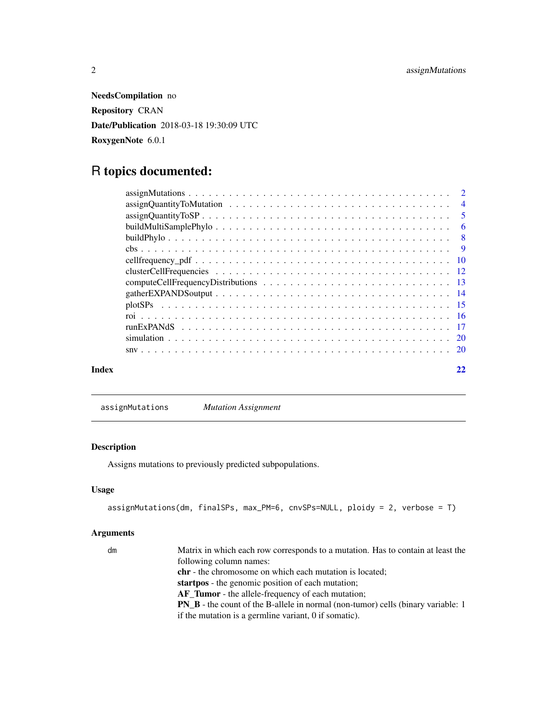<span id="page-1-0"></span>NeedsCompilation no Repository CRAN Date/Publication 2018-03-18 19:30:09 UTC RoxygenNote 6.0.1

## R topics documented:

|       | $assignQuantity To SP \dots \dots \dots \dots \dots \dots \dots \dots \dots \dots \dots \dots \dots \dots \dots \dots \dots \dots$ |  |
|-------|------------------------------------------------------------------------------------------------------------------------------------|--|
|       |                                                                                                                                    |  |
|       |                                                                                                                                    |  |
|       |                                                                                                                                    |  |
|       |                                                                                                                                    |  |
|       |                                                                                                                                    |  |
|       |                                                                                                                                    |  |
|       | gather EXPANDS output $\ldots \ldots \ldots \ldots \ldots \ldots \ldots \ldots \ldots \ldots \ldots \ldots$                        |  |
|       |                                                                                                                                    |  |
|       |                                                                                                                                    |  |
|       |                                                                                                                                    |  |
|       |                                                                                                                                    |  |
|       |                                                                                                                                    |  |
| Index |                                                                                                                                    |  |

<span id="page-1-1"></span>assignMutations *Mutation Assignment*

#### Description

Assigns mutations to previously predicted subpopulations.

#### Usage

```
assignMutations(dm, finalSPs, max_PM=6, cnvSPs=NULL, ploidy = 2, verbose = T)
```

| dm | Matrix in which each row corresponds to a mutation. Has to contain at least the         |
|----|-----------------------------------------------------------------------------------------|
|    | following column names:                                                                 |
|    | <b>chr</b> - the chromosome on which each mutation is located;                          |
|    | <b>startpos</b> - the genomic position of each mutation;                                |
|    | AF_Tumor - the allele-frequency of each mutation;                                       |
|    | <b>PN B</b> - the count of the B-allele in normal (non-tumor) cells (binary variable: 1 |
|    | if the mutation is a germline variant, 0 if somatic).                                   |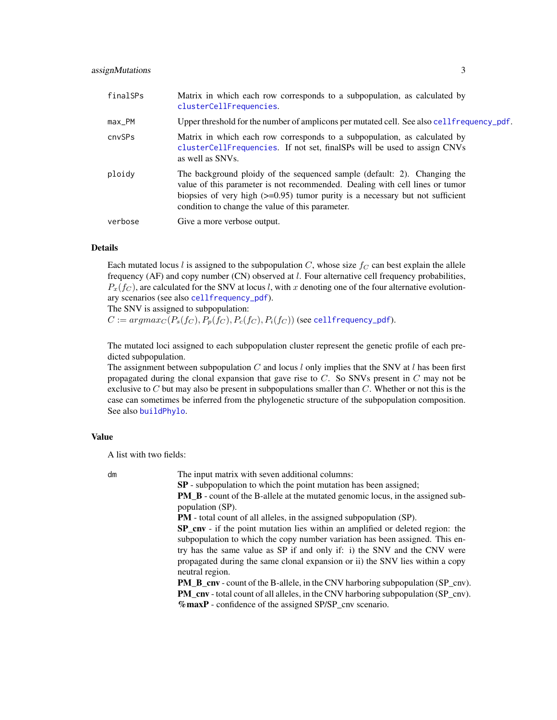#### <span id="page-2-0"></span>assignMutations 3

| finalSPs | Matrix in which each row corresponds to a subpopulation, as calculated by<br>clusterCellFrequencies.                                                                                                                                                                                               |
|----------|----------------------------------------------------------------------------------------------------------------------------------------------------------------------------------------------------------------------------------------------------------------------------------------------------|
| max_PM   | Upper threshold for the number of amplicons per mutated cell. See also cell frequency_pdf.                                                                                                                                                                                                         |
| cnvSPs   | Matrix in which each row corresponds to a subpopulation, as calculated by<br>clusterCellFrequencies. If not set, final SPs will be used to assign CNVs<br>as well as SNVs.                                                                                                                         |
| ploidy   | The background ploidy of the sequenced sample (default: 2). Changing the<br>value of this parameter is not recommended. Dealing with cell lines or tumor<br>biopsies of very high $(\geq 0.95)$ tumor purity is a necessary but not sufficient<br>condition to change the value of this parameter. |
| verbose  | Give a more verbose output.                                                                                                                                                                                                                                                                        |

#### Details

Each mutated locus l is assigned to the subpopulation C, whose size  $f_C$  can best explain the allele frequency (AF) and copy number (CN) observed at  $l$ . Four alternative cell frequency probabilities,  $P_x(f_C)$ , are calculated for the SNV at locus l, with x denoting one of the four alternative evolutionary scenarios (see also [cellfrequency\\_pdf](#page-9-1)).

The SNV is assigned to subpopulation:

 $C := argmax_C(P_s(f_C), P_p(f_C), P_c(f_C), P_i(f_C))$  (see [cellfrequency\\_pdf](#page-9-1)).

The mutated loci assigned to each subpopulation cluster represent the genetic profile of each predicted subpopulation.

The assignment between subpopulation C and locus  $l$  only implies that the SNV at  $l$  has been first propagated during the clonal expansion that gave rise to  $C$ . So SNVs present in  $C$  may not be exclusive to  $C$  but may also be present in subpopulations smaller than  $C$ . Whether or not this is the case can sometimes be inferred from the phylogenetic structure of the subpopulation composition. See also [buildPhylo](#page-7-1).

#### Value

A list with two fields:

dm The input matrix with seven additional columns: SP - subpopulation to which the point mutation has been assigned;

PM B - count of the B-allele at the mutated genomic locus, in the assigned sub-

population (SP).

PM - total count of all alleles, in the assigned subpopulation (SP).

SP\_cnv - if the point mutation lies within an amplified or deleted region: the subpopulation to which the copy number variation has been assigned. This entry has the same value as SP if and only if: i) the SNV and the CNV were propagated during the same clonal expansion or ii) the SNV lies within a copy neutral region.

PM\_B\_cnv - count of the B-allele, in the CNV harboring subpopulation (SP\_cnv). PM\_cnv - total count of all alleles, in the CNV harboring subpopulation (SP\_cnv). %maxP - confidence of the assigned SP/SP\_cnv scenario.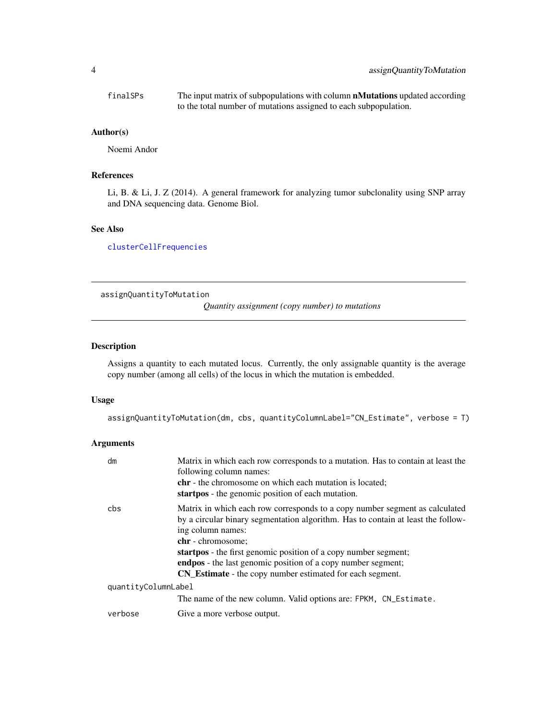<span id="page-3-0"></span>

| finalSPs | The input matrix of subpopulations with column <b>nMutations</b> updated according |
|----------|------------------------------------------------------------------------------------|
|          | to the total number of mutations assigned to each subpopulation.                   |

#### Author(s)

Noemi Andor

#### References

Li, B. & Li, J. Z (2014). A general framework for analyzing tumor subclonality using SNP array and DNA sequencing data. Genome Biol.

#### See Also

[clusterCellFrequencies](#page-11-1)

<span id="page-3-1"></span>assignQuantityToMutation

*Quantity assignment (copy number) to mutations*

#### Description

Assigns a quantity to each mutated locus. Currently, the only assignable quantity is the average copy number (among all cells) of the locus in which the mutation is embedded.

#### Usage

assignQuantityToMutation(dm, cbs, quantityColumnLabel="CN\_Estimate", verbose = T)

| dm                  | Matrix in which each row corresponds to a mutation. Has to contain at least the<br>following column names:<br><b>chr</b> - the chromosome on which each mutation is located;<br>startpos - the genomic position of each mutation.                                                                                                                                                                                       |
|---------------------|-------------------------------------------------------------------------------------------------------------------------------------------------------------------------------------------------------------------------------------------------------------------------------------------------------------------------------------------------------------------------------------------------------------------------|
| cbs.                | Matrix in which each row corresponds to a copy number segment as calculated<br>by a circular binary segmentation algorithm. Has to contain at least the follow-<br>ing column names:<br>chr - chromosome;<br>startpos - the first genomic position of a copy number segment;<br><b>endpos</b> - the last genomic position of a copy number segment;<br><b>CN_Estimate</b> - the copy number estimated for each segment. |
| quantityColumnLabel |                                                                                                                                                                                                                                                                                                                                                                                                                         |
|                     | The name of the new column. Valid options are: FPKM, CN_Estimate.                                                                                                                                                                                                                                                                                                                                                       |
| verbose             | Give a more verbose output.                                                                                                                                                                                                                                                                                                                                                                                             |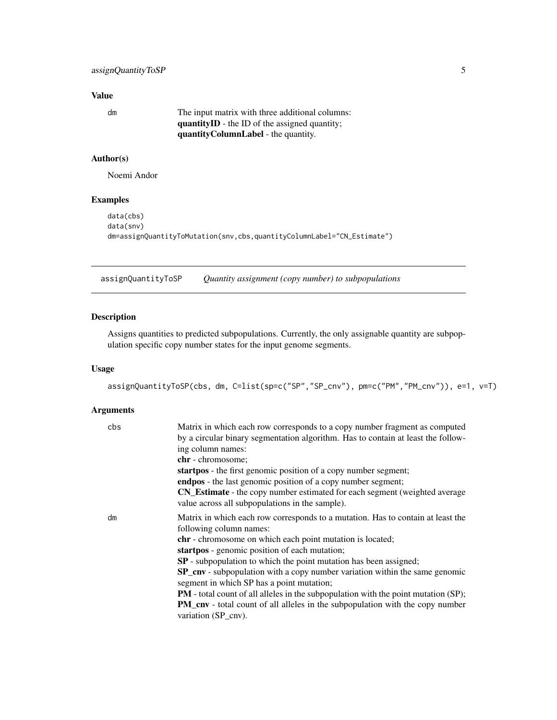<span id="page-4-0"></span>

| dm | The input matrix with three additional columns:      |
|----|------------------------------------------------------|
|    | <b>quantityID</b> - the ID of the assigned quantity; |
|    | <b>quantityColumnLabel</b> - the quantity.           |

#### Author(s)

Noemi Andor

#### Examples

```
data(cbs)
data(snv)
dm=assignQuantityToMutation(snv,cbs,quantityColumnLabel="CN_Estimate")
```
<span id="page-4-1"></span>assignQuantityToSP *Quantity assignment (copy number) to subpopulations*

#### Description

Assigns quantities to predicted subpopulations. Currently, the only assignable quantity are subpopulation specific copy number states for the input genome segments.

#### Usage

assignQuantityToSP(cbs, dm, C=list(sp=c("SP","SP\_cnv"), pm=c("PM","PM\_cnv")), e=1, v=T)

| cbs | Matrix in which each row corresponds to a copy number fragment as computed<br>by a circular binary segmentation algorithm. Has to contain at least the follow-<br>ing column names:<br>chr - chromosome;<br>startpos - the first genomic position of a copy number segment; |
|-----|-----------------------------------------------------------------------------------------------------------------------------------------------------------------------------------------------------------------------------------------------------------------------------|
|     | endpos - the last genomic position of a copy number segment;                                                                                                                                                                                                                |
|     | CN_Estimate - the copy number estimated for each segment (weighted average<br>value across all subpopulations in the sample).                                                                                                                                               |
| dm  | Matrix in which each row corresponds to a mutation. Has to contain at least the<br>following column names:                                                                                                                                                                  |
|     | <b>chr</b> - chromosome on which each point mutation is located;                                                                                                                                                                                                            |
|     | startpos - genomic position of each mutation;                                                                                                                                                                                                                               |
|     | SP - subpopulation to which the point mutation has been assigned;                                                                                                                                                                                                           |
|     | <b>SP_cnv</b> - subpopulation with a copy number variation within the same genomic<br>segment in which SP has a point mutation;                                                                                                                                             |
|     | <b>PM</b> - total count of all alleles in the subpopulation with the point mutation (SP);                                                                                                                                                                                   |
|     | <b>PM_cnv</b> - total count of all alleles in the subpopulation with the copy number<br>variation (SP_cnv).                                                                                                                                                                 |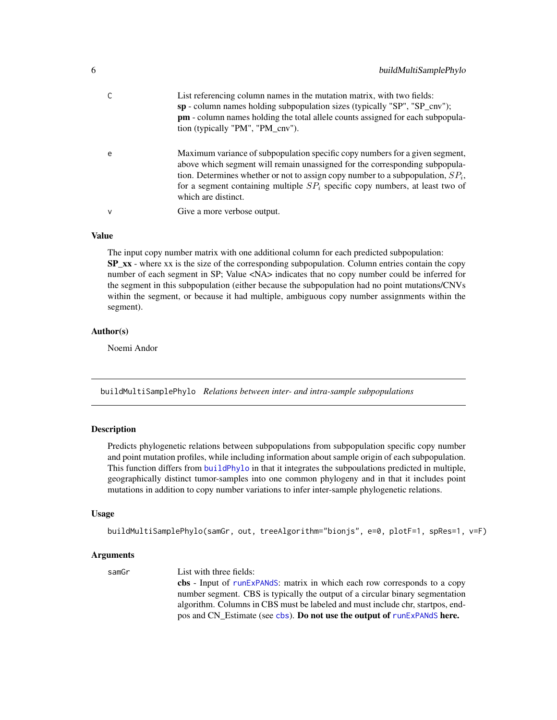<span id="page-5-0"></span>

|   | List referencing column names in the mutation matrix, with two fields:<br>sp - column names holding subpopulation sizes (typically "SP", "SP_cnv");<br><b>pm</b> - column names holding the total allele counts assigned for each subpopula-<br>tion (typically "PM", "PM_cnv").                                                                            |
|---|-------------------------------------------------------------------------------------------------------------------------------------------------------------------------------------------------------------------------------------------------------------------------------------------------------------------------------------------------------------|
| e | Maximum variance of subpopulation specific copy numbers for a given segment,<br>above which segment will remain unassigned for the corresponding subpopula-<br>tion. Determines whether or not to assign copy number to a subpopulation, $SP_i$ ,<br>for a segment containing multiple $SP_i$ specific copy numbers, at least two of<br>which are distinct. |
| v | Give a more verbose output.                                                                                                                                                                                                                                                                                                                                 |
|   |                                                                                                                                                                                                                                                                                                                                                             |

The input copy number matrix with one additional column for each predicted subpopulation: SP\_xx - where xx is the size of the corresponding subpopulation. Column entries contain the copy number of each segment in SP; Value <NA> indicates that no copy number could be inferred for the segment in this subpopulation (either because the subpopulation had no point mutations/CNVs within the segment, or because it had multiple, ambiguous copy number assignments within the segment).

#### Author(s)

Noemi Andor

buildMultiSamplePhylo *Relations between inter- and intra-sample subpopulations*

#### Description

Predicts phylogenetic relations between subpopulations from subpopulation specific copy number and point mutation profiles, while including information about sample origin of each subpopulation. This function differs from [buildPhylo](#page-7-1) in that it integrates the subpoulations predicted in multiple, geographically distinct tumor-samples into one common phylogeny and in that it includes point mutations in addition to copy number variations to infer inter-sample phylogenetic relations.

#### Usage

```
buildMultiSamplePhylo(samGr, out, treeAlgorithm="bionjs", e=0, plotF=1, spRes=1, v=F)
```
#### Arguments

samGr List with three fields: cbs - Input of [runExPANdS](#page-16-1): matrix in which each row corresponds to a copy number segment. CBS is typically the output of a circular binary segmentation algorithm. Columns in CBS must be labeled and must include chr, startpos, endpos and CN\_Estimate (see [cbs](#page-8-1)). Do not use the output of [runExPANdS](#page-16-1) here.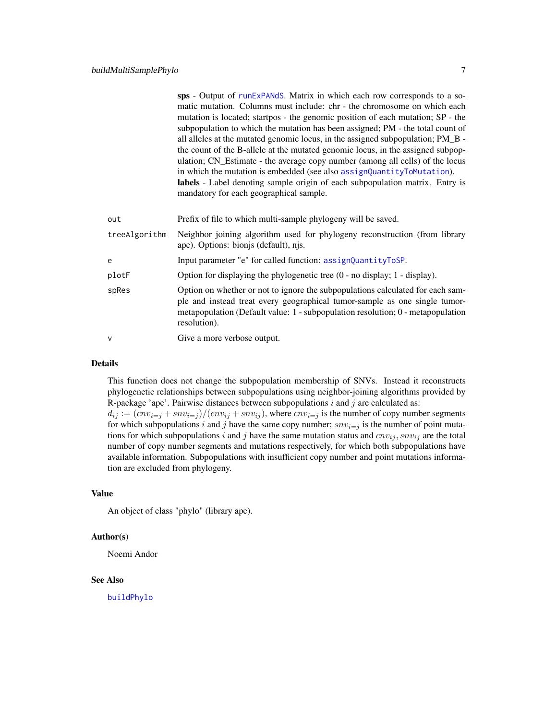<span id="page-6-0"></span>sps - Output of [runExPANdS](#page-16-1). Matrix in which each row corresponds to a somatic mutation. Columns must include: chr - the chromosome on which each mutation is located; startpos - the genomic position of each mutation; SP - the subpopulation to which the mutation has been assigned; PM - the total count of all alleles at the mutated genomic locus, in the assigned subpopulation; PM\_B the count of the B-allele at the mutated genomic locus, in the assigned subpopulation; CN\_Estimate - the average copy number (among all cells) of the locus in which the mutation is embedded (see also [assignQuantityToMutation](#page-3-1)). labels - Label denoting sample origin of each subpopulation matrix. Entry is mandatory for each geographical sample.

| out           | Prefix of file to which multi-sample phylogeny will be saved.                                                                                                                                                                                                       |
|---------------|---------------------------------------------------------------------------------------------------------------------------------------------------------------------------------------------------------------------------------------------------------------------|
| treeAlgorithm | Neighbor joining algorithm used for phylogeny reconstruction (from library<br>ape). Options: bionis (default), njs.                                                                                                                                                 |
| e             | Input parameter "e" for called function: assignQuantityToSP.                                                                                                                                                                                                        |
| plotF         | Option for displaying the phylogenetic tree (0 - no display; 1 - display).                                                                                                                                                                                          |
| spRes         | Option on whether or not to ignore the subpopulations calculated for each sam-<br>ple and instead treat every geographical tumor-sample as one single tumor-<br>metapopulation (Default value: $1$ - subpopulation resolution; $0$ - metapopulation<br>resolution). |
| v             | Give a more verbose output.                                                                                                                                                                                                                                         |

#### Details

This function does not change the subpopulation membership of SNVs. Instead it reconstructs phylogenetic relationships between subpopulations using neighbor-joining algorithms provided by R-package 'ape'. Pairwise distances between subpopulations  $i$  and  $j$  are calculated as:  $d_{ij} := (c n v_{i=j} + s n v_{i=j})/(c n v_{ij} + s n v_{ij})$ , where  $c n v_{i=j}$  is the number of copy number segments for which subpopulations i and j have the same copy number;  $snv_{i}=j$  is the number of point mutations for which subpopulations i and j have the same mutation status and  $cnv_{ij}$ , snv<sub>ij</sub> are the total number of copy number segments and mutations respectively, for which both subpopulations have available information. Subpopulations with insufficient copy number and point mutations informa-

#### Value

An object of class "phylo" (library ape).

tion are excluded from phylogeny.

#### Author(s)

Noemi Andor

#### See Also

[buildPhylo](#page-7-1)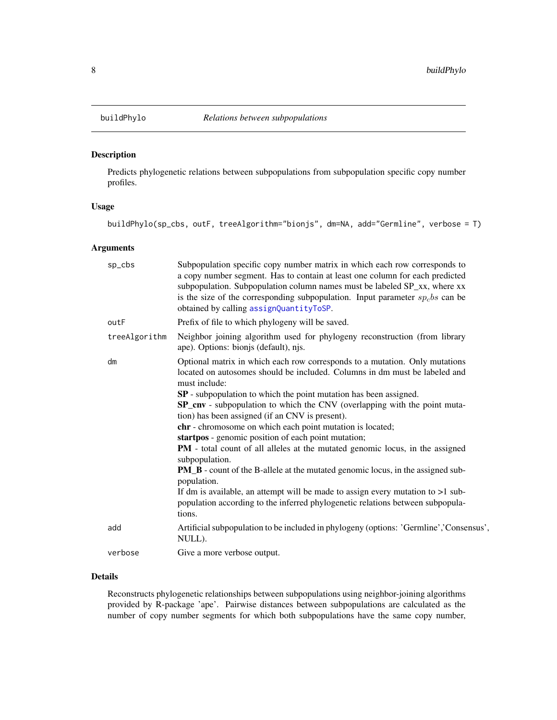<span id="page-7-1"></span><span id="page-7-0"></span>

#### Description

Predicts phylogenetic relations between subpopulations from subpopulation specific copy number profiles.

#### Usage

buildPhylo(sp\_cbs, outF, treeAlgorithm="bionjs", dm=NA, add="Germline", verbose = T)

#### Arguments

| sp_cbs        | Subpopulation specific copy number matrix in which each row corresponds to<br>a copy number segment. Has to contain at least one column for each predicted<br>subpopulation. Subpopulation column names must be labeled SP_xx, where xx<br>is the size of the corresponding subpopulation. Input parameter $sp_cbs$ can be<br>obtained by calling assignQuantityToSP.                                                                                                                                                                                                                                                                                                                                                                                                                                                                                                                                   |
|---------------|---------------------------------------------------------------------------------------------------------------------------------------------------------------------------------------------------------------------------------------------------------------------------------------------------------------------------------------------------------------------------------------------------------------------------------------------------------------------------------------------------------------------------------------------------------------------------------------------------------------------------------------------------------------------------------------------------------------------------------------------------------------------------------------------------------------------------------------------------------------------------------------------------------|
| outF          | Prefix of file to which phylogeny will be saved.                                                                                                                                                                                                                                                                                                                                                                                                                                                                                                                                                                                                                                                                                                                                                                                                                                                        |
| treeAlgorithm | Neighbor joining algorithm used for phylogeny reconstruction (from library<br>ape). Options: bionjs (default), njs.                                                                                                                                                                                                                                                                                                                                                                                                                                                                                                                                                                                                                                                                                                                                                                                     |
| dm            | Optional matrix in which each row corresponds to a mutation. Only mutations<br>located on autosomes should be included. Columns in dm must be labeled and<br>must include:<br><b>SP</b> - subpopulation to which the point mutation has been assigned.<br>SP_cnv - subpopulation to which the CNV (overlapping with the point muta-<br>tion) has been assigned (if an CNV is present).<br>chr - chromosome on which each point mutation is located;<br>startpos - genomic position of each point mutation;<br>PM - total count of all alleles at the mutated genomic locus, in the assigned<br>subpopulation.<br><b>PM_B</b> - count of the B-allele at the mutated genomic locus, in the assigned sub-<br>population.<br>If dm is available, an attempt will be made to assign every mutation to $>1$ sub-<br>population according to the inferred phylogenetic relations between subpopula-<br>tions. |
| add           | Artificial subpopulation to be included in phylogeny (options: 'Germline','Consensus',<br>NULL).                                                                                                                                                                                                                                                                                                                                                                                                                                                                                                                                                                                                                                                                                                                                                                                                        |
| verbose       | Give a more verbose output.                                                                                                                                                                                                                                                                                                                                                                                                                                                                                                                                                                                                                                                                                                                                                                                                                                                                             |
|               |                                                                                                                                                                                                                                                                                                                                                                                                                                                                                                                                                                                                                                                                                                                                                                                                                                                                                                         |

#### Details

Reconstructs phylogenetic relationships between subpopulations using neighbor-joining algorithms provided by R-package 'ape'. Pairwise distances between subpopulations are calculated as the number of copy number segments for which both subpopulations have the same copy number,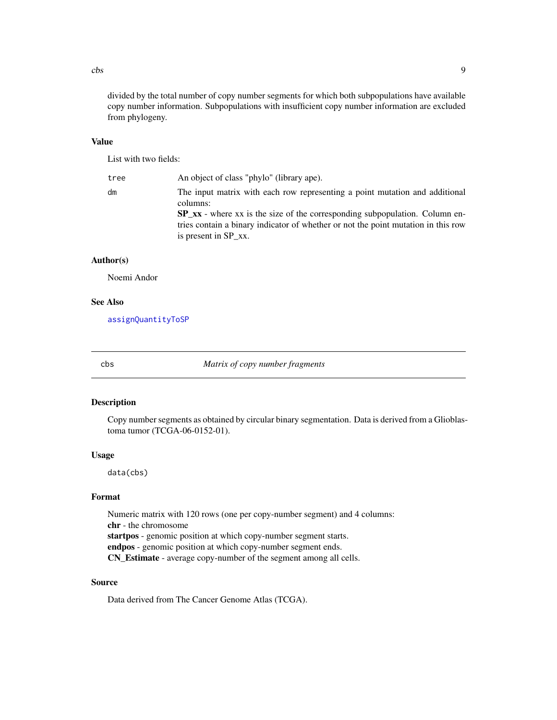<span id="page-8-0"></span> $\cos$  9

divided by the total number of copy number segments for which both subpopulations have available copy number information. Subpopulations with insufficient copy number information are excluded from phylogeny.

#### Value

List with two fields:

tree An object of class "phylo" (library ape). dm The input matrix with each row representing a point mutation and additional columns: SP\_xx - where xx is the size of the corresponding subpopulation. Column entries contain a binary indicator of whether or not the point mutation in this row is present in SP\_xx.

#### Author(s)

Noemi Andor

#### See Also

[assignQuantityToSP](#page-4-1)

<span id="page-8-1"></span>

cbs *Matrix of copy number fragments*

#### Description

Copy number segments as obtained by circular binary segmentation. Data is derived from a Glioblastoma tumor (TCGA-06-0152-01).

#### Usage

data(cbs)

#### Format

Numeric matrix with 120 rows (one per copy-number segment) and 4 columns: chr - the chromosome startpos - genomic position at which copy-number segment starts. endpos - genomic position at which copy-number segment ends. CN\_Estimate - average copy-number of the segment among all cells.

#### Source

Data derived from The Cancer Genome Atlas (TCGA).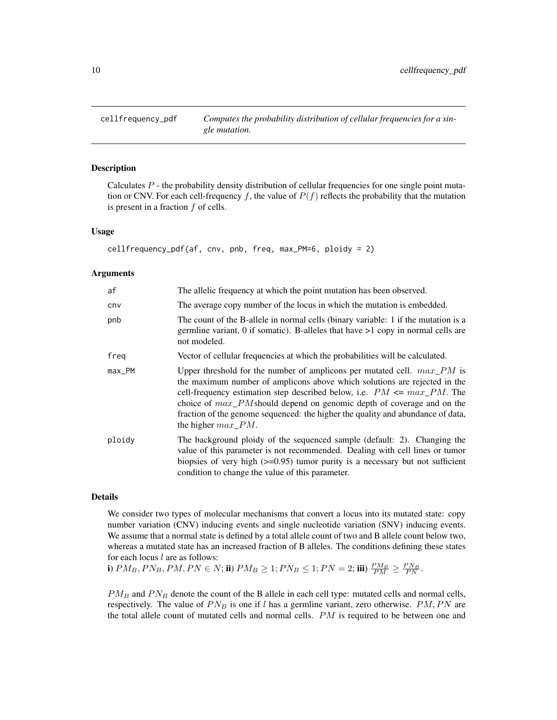<span id="page-9-1"></span><span id="page-9-0"></span>

#### Description

Calculates  $P$  - the probability density distribution of cellular frequencies for one single point mutation or CNV. For each cell-frequency f, the value of  $P(f)$  reflects the probability that the mutation is present in a fraction  $f$  of cells.

#### Usage

```
cellfrequency_pdf(af, cnv, pnb, freq, max_PM=6, ploidy = 2)
```
#### Arguments

| af       | The allelic frequency at which the point mutation has been observed.                                                                                                                                                                                                                                                                                                                                                              |
|----------|-----------------------------------------------------------------------------------------------------------------------------------------------------------------------------------------------------------------------------------------------------------------------------------------------------------------------------------------------------------------------------------------------------------------------------------|
| cnv      | The average copy number of the locus in which the mutation is embedded.                                                                                                                                                                                                                                                                                                                                                           |
| pnb      | The count of the B-allele in normal cells (binary variable: 1 if the mutation is a<br>germline variant, 0 if somatic). B-alleles that have $>1$ copy in normal cells are<br>not modeled.                                                                                                                                                                                                                                          |
| freq     | Vector of cellular frequencies at which the probabilities will be calculated.                                                                                                                                                                                                                                                                                                                                                     |
| $max$ PM | Upper threshold for the number of amplicons per mutated cell. $max\_PM$ is<br>the maximum number of amplicons above which solutions are rejected in the<br>cell-frequency estimation step described below, i.e. $PM \leq max\_PM$ . The<br>choice of $max\_PM$ should depend on genomic depth of coverage and on the<br>fraction of the genome sequenced: the higher the quality and abundance of data,<br>the higher $max\_PM$ . |
| ploidy   | The background ploidy of the sequenced sample (default: 2). Changing the<br>value of this parameter is not recommended. Dealing with cell lines or tumor<br>biopsies of very high $(\geq 0.95)$ tumor purity is a necessary but not sufficient<br>condition to change the value of this parameter.                                                                                                                                |

#### Details

We consider two types of molecular mechanisms that convert a locus into its mutated state: copy number variation (CNV) inducing events and single nucleotide variation (SNV) inducing events. We assume that a normal state is defined by a total allele count of two and B allele count below two, whereas a mutated state has an increased fraction of B alleles. The conditions defining these states for each locus  $l$  are as follows:

i)  $PM_B, PN_B, PM, PN \in N$ ; ii)  $PM_B \ge 1; PN_B \le 1; PN = 2;$  iii)  $\frac{PM_B}{PM} \ge \frac{PN_B}{PN}$ .

 $PM_B$  and  $PN_B$  denote the count of the B allele in each cell type: mutated cells and normal cells, respectively. The value of  $PN<sub>B</sub>$  is one if l has a germline variant, zero otherwise.  $PM, PN$  are the total allele count of mutated cells and normal cells.  $PM$  is required to be between one and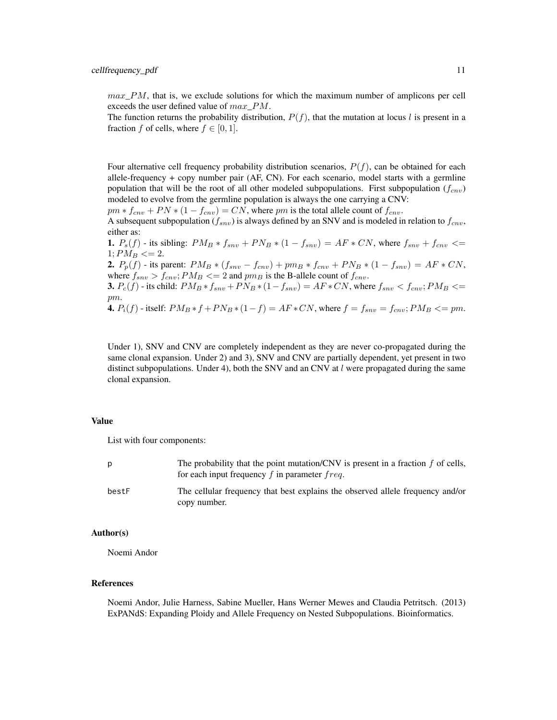$max\_PM$ , that is, we exclude solutions for which the maximum number of amplicons per cell exceeds the user defined value of  $max\;PM$ .

The function returns the probability distribution,  $P(f)$ , that the mutation at locus l is present in a fraction f of cells, where  $f \in [0, 1]$ .

Four alternative cell frequency probability distribution scenarios,  $P(f)$ , can be obtained for each allele-frequency + copy number pair (AF, CN). For each scenario, model starts with a germline population that will be the root of all other modeled subpopulations. First subpopulation  $(f_{env})$ modeled to evolve from the germline population is always the one carrying a CNV:

 $pm * f_{cnv} + PN * (1 - f_{cnv}) = CN$ , where pm is the total allele count of  $f_{cnv}$ .

A subsequent subpopulation ( $f_{snv}$ ) is always defined by an SNV and is modeled in relation to  $f_{cnv}$ , either as:

**1.**  $P_s(f)$  - its sibling:  $PM_B * f_{snv} + PN_B * (1 - f_{snv}) = AF * CN$ , where  $f_{snv} + f_{cnv} \leq$  $1; PM_B \leq 2.$ 2.  $P_p(f)$  - its parent:  $PM_B * (f_{snv} - f_{cnv}) + pm_B * f_{cnv} + PN_B * (1 - f_{snv}) = AF * CN$ , where  $f_{snv} > f_{cnv}$ ;  $PM_B \leq 2$  and  $pm_B$  is the B-allele count of  $f_{cnv}$ . **3.**  $P_c(f)$  - its child:  $PM_B * f_{snv} + PN_B * (1 - f_{snv}) = AF * CN$ , where  $f_{snv} < f_{cnv}$ ;  $PM_B \leq$ 

pm.

**4.**  $P_i(f)$  - itself:  $PM_B * f + PN_B * (1 - f) = AF * CN$ , where  $f = f_{snv} = f_{cnv}$ ;  $PM_B \leq p m$ .

Under 1), SNV and CNV are completely independent as they are never co-propagated during the same clonal expansion. Under 2) and 3), SNV and CNV are partially dependent, yet present in two distinct subpopulations. Under 4), both the SNV and an CNV at  $l$  were propagated during the same clonal expansion.

#### Value

List with four components:

|       | The probability that the point mutation/CNV is present in a fraction $f$ of cells,<br>for each input frequency $f$ in parameter $freq$ . |
|-------|------------------------------------------------------------------------------------------------------------------------------------------|
| bestF | The cellular frequency that best explains the observed allele frequency and/or<br>copy number.                                           |

#### Author(s)

Noemi Andor

#### References

Noemi Andor, Julie Harness, Sabine Mueller, Hans Werner Mewes and Claudia Petritsch. (2013) ExPANdS: Expanding Ploidy and Allele Frequency on Nested Subpopulations. Bioinformatics.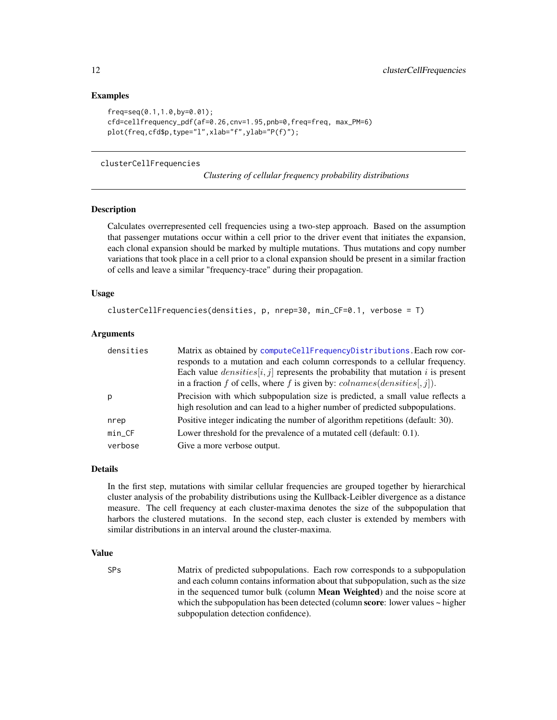#### Examples

```
freq=seq(0.1,1.0,by=0.01);
cfd=cellfrequency_pdf(af=0.26,cnv=1.95,pnb=0,freq=freq, max_PM=6)
plot(freq,cfd$p,type="l",xlab="f",ylab="P(f)");
```
#### <span id="page-11-1"></span>clusterCellFrequencies

*Clustering of cellular frequency probability distributions*

#### **Description**

Calculates overrepresented cell frequencies using a two-step approach. Based on the assumption that passenger mutations occur within a cell prior to the driver event that initiates the expansion, each clonal expansion should be marked by multiple mutations. Thus mutations and copy number variations that took place in a cell prior to a clonal expansion should be present in a similar fraction of cells and leave a similar "frequency-trace" during their propagation.

#### Usage

```
clusterCellFrequencies(densities, p, nrep=30, min_CF=0.1, verbose = T)
```
#### Arguments

| densities | Matrix as obtained by computeCellFrequencyDistributions. Each row cor-             |
|-----------|------------------------------------------------------------------------------------|
|           | responds to a mutation and each column corresponds to a cellular frequency.        |
|           | Each value $densities[i, j]$ represents the probability that mutation i is present |
|           | in a fraction f of cells, where f is given by: $\text{columns}(densities[, j]).$   |
| p         | Precision with which subpopulation size is predicted, a small value reflects a     |
|           | high resolution and can lead to a higher number of predicted subpopulations.       |
| nrep      | Positive integer indicating the number of algorithm repetitions (default: 30).     |
| $min_C$ F | Lower threshold for the prevalence of a mutated cell (default: 0.1).               |
| verbose   | Give a more verbose output.                                                        |

#### Details

In the first step, mutations with similar cellular frequencies are grouped together by hierarchical cluster analysis of the probability distributions using the Kullback-Leibler divergence as a distance measure. The cell frequency at each cluster-maxima denotes the size of the subpopulation that harbors the clustered mutations. In the second step, each cluster is extended by members with similar distributions in an interval around the cluster-maxima.

#### Value

SPs Matrix of predicted subpopulations. Each row corresponds to a subpopulation and each column contains information about that subpopulation, such as the size in the sequenced tumor bulk (column Mean Weighted) and the noise score at which the subpopulation has been detected (column score: lower values  $\sim$  higher subpopulation detection confidence).

<span id="page-11-0"></span>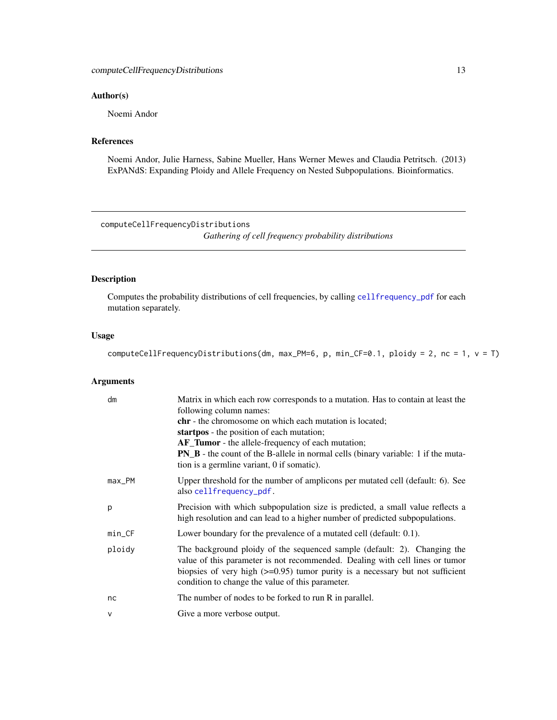#### <span id="page-12-0"></span>Author(s)

Noemi Andor

#### References

Noemi Andor, Julie Harness, Sabine Mueller, Hans Werner Mewes and Claudia Petritsch. (2013) ExPANdS: Expanding Ploidy and Allele Frequency on Nested Subpopulations. Bioinformatics.

<span id="page-12-1"></span>computeCellFrequencyDistributions *Gathering of cell frequency probability distributions*

#### Description

Computes the probability distributions of cell frequencies, by calling [cellfrequency\\_pdf](#page-9-1) for each mutation separately.

#### Usage

computeCellFrequencyDistributions(dm, max\_PM=6, p, min\_CF=0.1, ploidy = 2, nc = 1, v = T)

| dm           | Matrix in which each row corresponds to a mutation. Has to contain at least the<br>following column names:<br><b>chr</b> - the chromosome on which each mutation is located;<br>startpos - the position of each mutation;<br><b>AF_Tumor</b> - the allele-frequency of each mutation;<br><b>PN_B</b> - the count of the B-allele in normal cells (binary variable: 1 if the muta-<br>tion is a germline variant, 0 if somatic). |
|--------------|---------------------------------------------------------------------------------------------------------------------------------------------------------------------------------------------------------------------------------------------------------------------------------------------------------------------------------------------------------------------------------------------------------------------------------|
| $max_PM$     | Upper threshold for the number of amplicons per mutated cell (default: 6). See<br>also cellfrequency_pdf.                                                                                                                                                                                                                                                                                                                       |
| p            | Precision with which subpopulation size is predicted, a small value reflects a<br>high resolution and can lead to a higher number of predicted subpopulations.                                                                                                                                                                                                                                                                  |
| $min_C$ F    | Lower boundary for the prevalence of a mutated cell (default: 0.1).                                                                                                                                                                                                                                                                                                                                                             |
| ploidy       | The background ploidy of the sequenced sample (default: 2). Changing the<br>value of this parameter is not recommended. Dealing with cell lines or tumor<br>biopsies of very high $(\geq 0.95)$ tumor purity is a necessary but not sufficient<br>condition to change the value of this parameter.                                                                                                                              |
| nc           | The number of nodes to be forked to run R in parallel.                                                                                                                                                                                                                                                                                                                                                                          |
| $\mathsf{V}$ | Give a more verbose output.                                                                                                                                                                                                                                                                                                                                                                                                     |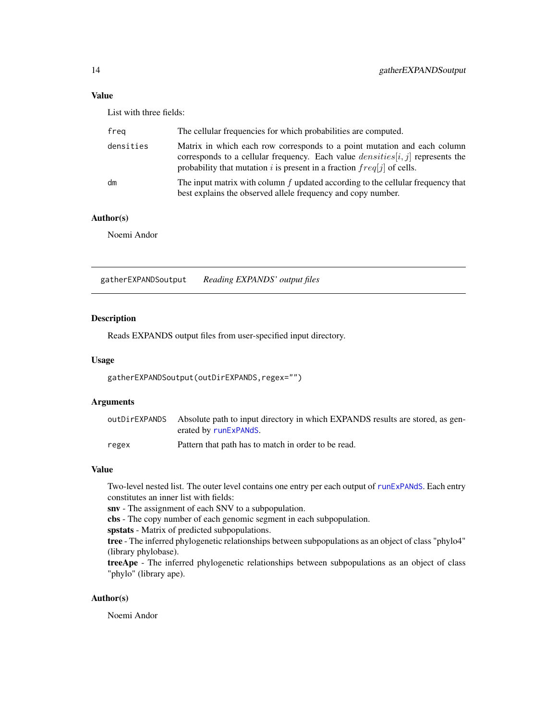<span id="page-13-0"></span>List with three fields:

| freg      | The cellular frequencies for which probabilities are computed.                                                                                                                                                                           |
|-----------|------------------------------------------------------------------------------------------------------------------------------------------------------------------------------------------------------------------------------------------|
| densities | Matrix in which each row corresponds to a point mutation and each column<br>corresponds to a cellular frequency. Each value $densities[i, j]$ represents the<br>probability that mutation i is present in a fraction $freq[j]$ of cells. |
| dm        | The input matrix with column $f$ updated according to the cellular frequency that<br>best explains the observed allele frequency and copy number.                                                                                        |

#### Author(s)

Noemi Andor

gatherEXPANDSoutput *Reading EXPANDS' output files*

#### Description

Reads EXPANDS output files from user-specified input directory.

#### Usage

gatherEXPANDSoutput(outDirEXPANDS,regex="")

#### Arguments

| outDirEXPANDS | Absolute path to input directory in which EXPANDS results are stored, as gen-<br>erated by runExPANdS. |
|---------------|--------------------------------------------------------------------------------------------------------|
| regex         | Pattern that path has to match in order to be read.                                                    |

#### Value

Two-level nested list. The outer level contains one entry per each output of [runExPANdS](#page-16-1). Each entry constitutes an inner list with fields:

snv - The assignment of each SNV to a subpopulation.

cbs - The copy number of each genomic segment in each subpopulation.

spstats - Matrix of predicted subpopulations.

tree - The inferred phylogenetic relationships between subpopulations as an object of class "phylo4" (library phylobase).

treeApe - The inferred phylogenetic relationships between subpopulations as an object of class "phylo" (library ape).

#### Author(s)

Noemi Andor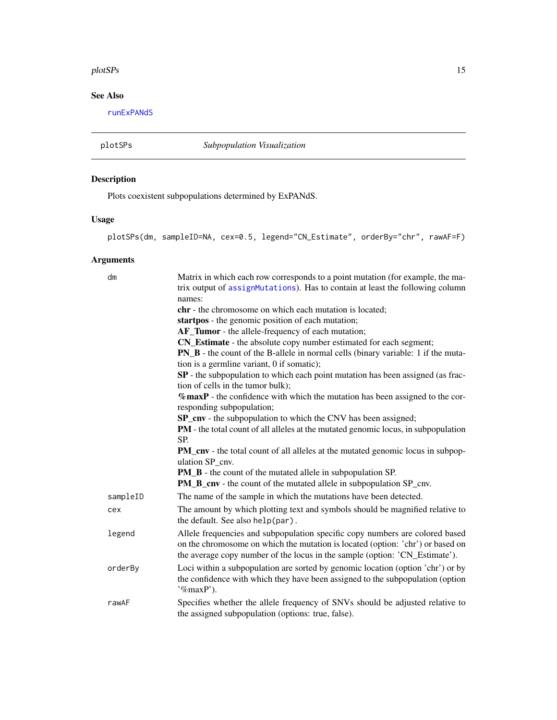#### <span id="page-14-0"></span>plotSPs 15

#### See Also

[runExPANdS](#page-16-1)

plotSPs *Subpopulation Visualization*

#### Description

Plots coexistent subpopulations determined by ExPANdS.

#### Usage

```
plotSPs(dm, sampleID=NA, cex=0.5, legend="CN_Estimate", orderBy="chr", rawAF=F)
```

| dm       | Matrix in which each row corresponds to a point mutation (for example, the ma-<br>trix output of assignMutations). Has to contain at least the following column<br>names:                                                                     |
|----------|-----------------------------------------------------------------------------------------------------------------------------------------------------------------------------------------------------------------------------------------------|
|          | chr - the chromosome on which each mutation is located;                                                                                                                                                                                       |
|          | startpos - the genomic position of each mutation;                                                                                                                                                                                             |
|          | AF_Tumor - the allele-frequency of each mutation;                                                                                                                                                                                             |
|          | CN_Estimate - the absolute copy number estimated for each segment;                                                                                                                                                                            |
|          | <b>PN_B</b> - the count of the B-allele in normal cells (binary variable: 1 if the muta-<br>tion is a germline variant, 0 if somatic);                                                                                                        |
|          | SP - the subpopulation to which each point mutation has been assigned (as frac-<br>tion of cells in the tumor bulk);                                                                                                                          |
|          | $%$ maxP - the confidence with which the mutation has been assigned to the cor-<br>responding subpopulation;                                                                                                                                  |
|          | SP_cnv - the subpopulation to which the CNV has been assigned;                                                                                                                                                                                |
|          | <b>PM</b> - the total count of all alleles at the mutated genomic locus, in subpopulation                                                                                                                                                     |
|          | SP.                                                                                                                                                                                                                                           |
|          | <b>PM_cnv</b> - the total count of all alleles at the mutated genomic locus in subpop-<br>ulation SP cnv.                                                                                                                                     |
|          | <b>PM_B</b> - the count of the mutated allele in subpopulation SP.                                                                                                                                                                            |
|          | <b>PM_B_cnv</b> - the count of the mutated allele in subpopulation SP_cnv.                                                                                                                                                                    |
| sampleID | The name of the sample in which the mutations have been detected.                                                                                                                                                                             |
| cex      | The amount by which plotting text and symbols should be magnified relative to<br>the default. See also help(par).                                                                                                                             |
| legend   | Allele frequencies and subpopulation specific copy numbers are colored based<br>on the chromosome on which the mutation is located (option: 'chr') or based on<br>the average copy number of the locus in the sample (option: 'CN_Estimate'). |
| orderBy  | Loci within a subpopulation are sorted by genomic location (option 'chr') or by<br>the confidence with which they have been assigned to the subpopulation (option<br>$\mathcal{C}_{\text{max}}$ P').                                          |
| rawAF    | Specifies whether the allele frequency of SNVs should be adjusted relative to<br>the assigned subpopulation (options: true, false).                                                                                                           |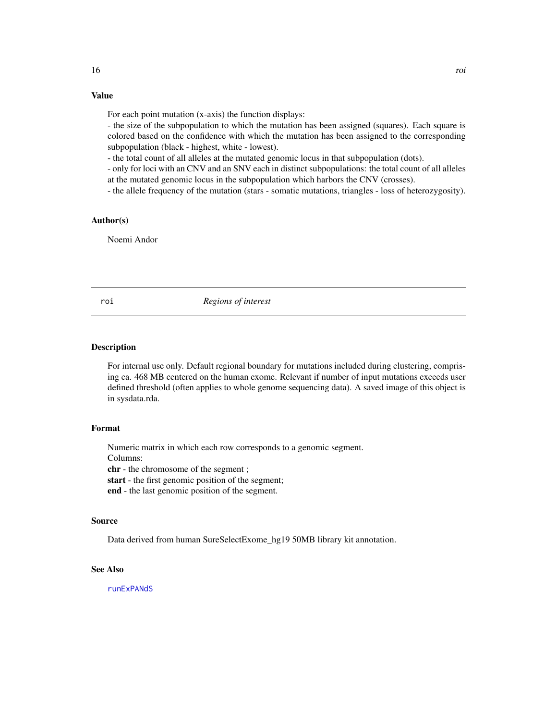<span id="page-15-0"></span>For each point mutation (x-axis) the function displays:

- the size of the subpopulation to which the mutation has been assigned (squares). Each square is colored based on the confidence with which the mutation has been assigned to the corresponding subpopulation (black - highest, white - lowest).

- the total count of all alleles at the mutated genomic locus in that subpopulation (dots).

- only for loci with an CNV and an SNV each in distinct subpopulations: the total count of all alleles at the mutated genomic locus in the subpopulation which harbors the CNV (crosses).

- the allele frequency of the mutation (stars - somatic mutations, triangles - loss of heterozygosity).

#### Author(s)

Noemi Andor

roi *Regions of interest*

#### Description

For internal use only. Default regional boundary for mutations included during clustering, comprising ca. 468 MB centered on the human exome. Relevant if number of input mutations exceeds user defined threshold (often applies to whole genome sequencing data). A saved image of this object is in sysdata.rda.

#### Format

Numeric matrix in which each row corresponds to a genomic segment.

Columns:

chr - the chromosome of the segment ;

start - the first genomic position of the segment;

end - the last genomic position of the segment.

#### Source

Data derived from human SureSelectExome\_hg19 50MB library kit annotation.

#### See Also

[runExPANdS](#page-16-1)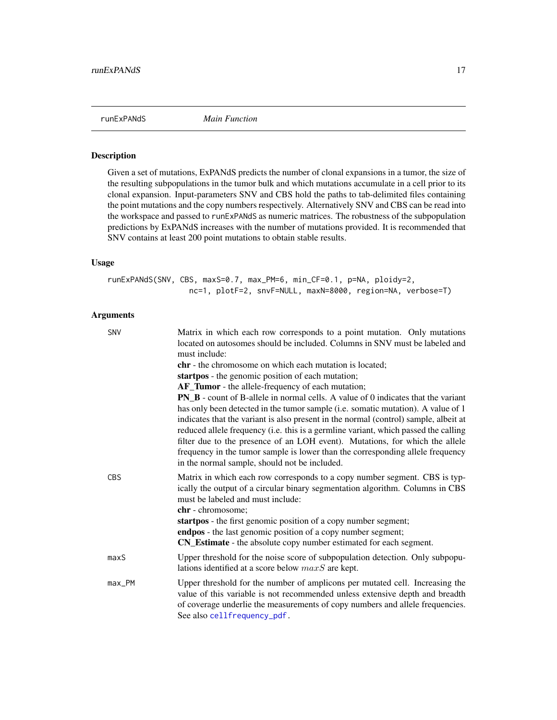<span id="page-16-1"></span><span id="page-16-0"></span>

#### Description

Given a set of mutations, ExPANdS predicts the number of clonal expansions in a tumor, the size of the resulting subpopulations in the tumor bulk and which mutations accumulate in a cell prior to its clonal expansion. Input-parameters SNV and CBS hold the paths to tab-delimited files containing the point mutations and the copy numbers respectively. Alternatively SNV and CBS can be read into the workspace and passed to runExPANdS as numeric matrices. The robustness of the subpopulation predictions by ExPANdS increases with the number of mutations provided. It is recommended that SNV contains at least 200 point mutations to obtain stable results.

#### Usage

runExPANdS(SNV, CBS, maxS=0.7, max\_PM=6, min\_CF=0.1, p=NA, ploidy=2, nc=1, plotF=2, snvF=NULL, maxN=8000, region=NA, verbose=T)

| <b>SNV</b> | Matrix in which each row corresponds to a point mutation. Only mutations<br>located on autosomes should be included. Columns in SNV must be labeled and<br>must include:<br><b>chr</b> - the chromosome on which each mutation is located;<br>startpos - the genomic position of each mutation;<br>AF_Tumor - the allele-frequency of each mutation;<br><b>PN_B</b> - count of B-allele in normal cells. A value of 0 indicates that the variant<br>has only been detected in the tumor sample (i.e. somatic mutation). A value of 1<br>indicates that the variant is also present in the normal (control) sample, albeit at<br>reduced allele frequency (i.e. this is a germline variant, which passed the calling<br>filter due to the presence of an LOH event). Mutations, for which the allele<br>frequency in the tumor sample is lower than the corresponding allele frequency<br>in the normal sample, should not be included. |
|------------|----------------------------------------------------------------------------------------------------------------------------------------------------------------------------------------------------------------------------------------------------------------------------------------------------------------------------------------------------------------------------------------------------------------------------------------------------------------------------------------------------------------------------------------------------------------------------------------------------------------------------------------------------------------------------------------------------------------------------------------------------------------------------------------------------------------------------------------------------------------------------------------------------------------------------------------|
| <b>CBS</b> | Matrix in which each row corresponds to a copy number segment. CBS is typ-<br>ically the output of a circular binary segmentation algorithm. Columns in CBS<br>must be labeled and must include:<br>chr - chromosome;<br>startpos - the first genomic position of a copy number segment;<br>endpos - the last genomic position of a copy number segment;<br>CN_Estimate - the absolute copy number estimated for each segment.                                                                                                                                                                                                                                                                                                                                                                                                                                                                                                         |
| maxS       | Upper threshold for the noise score of subpopulation detection. Only subpopu-<br>lations identified at a score below $maxS$ are kept.                                                                                                                                                                                                                                                                                                                                                                                                                                                                                                                                                                                                                                                                                                                                                                                                  |
| $max$ PM   | Upper threshold for the number of amplicons per mutated cell. Increasing the<br>value of this variable is not recommended unless extensive depth and breadth<br>of coverage underlie the measurements of copy numbers and allele frequencies.<br>See also cellfrequency_pdf.                                                                                                                                                                                                                                                                                                                                                                                                                                                                                                                                                                                                                                                           |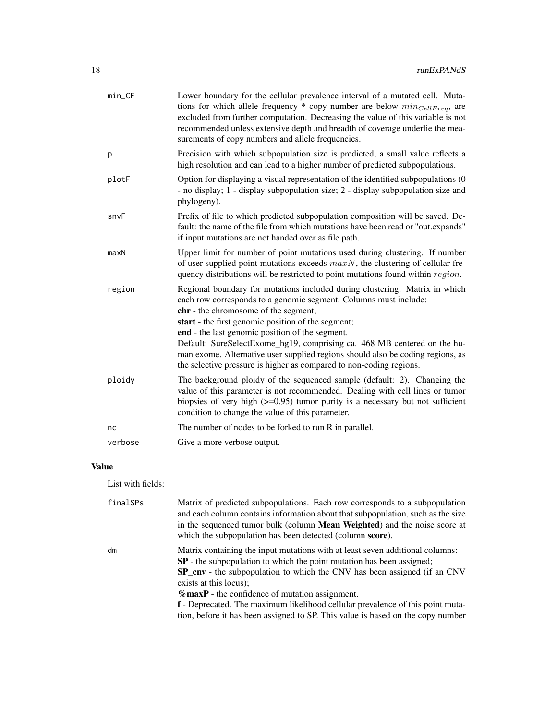| min_CF  | Lower boundary for the cellular prevalence interval of a mutated cell. Muta-<br>tions for which allele frequency $*$ copy number are below $min_{CellFreq}$ , are<br>excluded from further computation. Decreasing the value of this variable is not<br>recommended unless extensive depth and breadth of coverage underlie the mea-<br>surements of copy numbers and allele frequencies.                                                                                                                                             |
|---------|---------------------------------------------------------------------------------------------------------------------------------------------------------------------------------------------------------------------------------------------------------------------------------------------------------------------------------------------------------------------------------------------------------------------------------------------------------------------------------------------------------------------------------------|
| p       | Precision with which subpopulation size is predicted, a small value reflects a<br>high resolution and can lead to a higher number of predicted subpopulations.                                                                                                                                                                                                                                                                                                                                                                        |
| plotF   | Option for displaying a visual representation of the identified subpopulations (0<br>- no display; 1 - display subpopulation size; 2 - display subpopulation size and<br>phylogeny).                                                                                                                                                                                                                                                                                                                                                  |
| snvF    | Prefix of file to which predicted subpopulation composition will be saved. De-<br>fault: the name of the file from which mutations have been read or "out.expands"<br>if input mutations are not handed over as file path.                                                                                                                                                                                                                                                                                                            |
| maxN    | Upper limit for number of point mutations used during clustering. If number<br>of user supplied point mutations exceeds $maxN$ , the clustering of cellular fre-<br>quency distributions will be restricted to point mutations found within region.                                                                                                                                                                                                                                                                                   |
| region  | Regional boundary for mutations included during clustering. Matrix in which<br>each row corresponds to a genomic segment. Columns must include:<br>chr - the chromosome of the segment;<br>start - the first genomic position of the segment;<br>end - the last genomic position of the segment.<br>Default: SureSelectExome_hg19, comprising ca. 468 MB centered on the hu-<br>man exome. Alternative user supplied regions should also be coding regions, as<br>the selective pressure is higher as compared to non-coding regions. |
| ploidy  | The background ploidy of the sequenced sample (default: 2). Changing the<br>value of this parameter is not recommended. Dealing with cell lines or tumor<br>biopsies of very high $(>=0.95)$ tumor purity is a necessary but not sufficient<br>condition to change the value of this parameter.                                                                                                                                                                                                                                       |
| nc      | The number of nodes to be forked to run R in parallel.                                                                                                                                                                                                                                                                                                                                                                                                                                                                                |
| verbose | Give a more verbose output.                                                                                                                                                                                                                                                                                                                                                                                                                                                                                                           |
|         |                                                                                                                                                                                                                                                                                                                                                                                                                                                                                                                                       |

List with fields:

| finalSPs | Matrix of predicted subpopulations. Each row corresponds to a subpopulation<br>and each column contains information about that subpopulation, such as the size<br>in the sequenced tumor bulk (column <b>Mean Weighted</b> ) and the noise score at<br>which the subpopulation has been detected (column score). |
|----------|------------------------------------------------------------------------------------------------------------------------------------------------------------------------------------------------------------------------------------------------------------------------------------------------------------------|
| dm       | Matrix containing the input mutations with at least seven additional columns:<br><b>SP</b> - the subpopulation to which the point mutation has been assigned;<br><b>SP_cnv</b> - the subpopulation to which the CNV has been assigned (if an CNV                                                                 |
|          | exists at this locus);<br>$\%$ maxP - the confidence of mutation assignment.                                                                                                                                                                                                                                     |
|          | <b>f</b> - Deprecated. The maximum likelihood cellular prevalence of this point muta-<br>tion, before it has been assigned to SP. This value is based on the copy number                                                                                                                                         |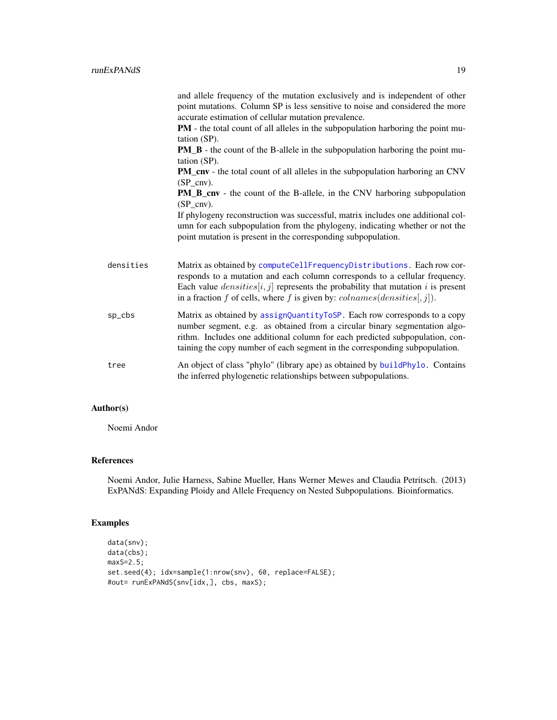<span id="page-18-0"></span>

|           | and allele frequency of the mutation exclusively and is independent of other<br>point mutations. Column SP is less sensitive to noise and considered the more<br>accurate estimation of cellular mutation prevalence.<br>PM - the total count of all alleles in the subpopulation harboring the point mu-<br>tation (SP).<br><b>PM_B</b> - the count of the B-allele in the subpopulation harboring the point mu-<br>tation (SP).<br><b>PM_cnv</b> - the total count of all alleles in the subpopulation harboring an CNV<br>$(SP$ cnv).<br><b>PM_B_cnv</b> - the count of the B-allele, in the CNV harboring subpopulation<br>$(SP$ cnv). |
|-----------|--------------------------------------------------------------------------------------------------------------------------------------------------------------------------------------------------------------------------------------------------------------------------------------------------------------------------------------------------------------------------------------------------------------------------------------------------------------------------------------------------------------------------------------------------------------------------------------------------------------------------------------------|
|           | If phylogeny reconstruction was successful, matrix includes one additional col-<br>umn for each subpopulation from the phylogeny, indicating whether or not the<br>point mutation is present in the corresponding subpopulation.                                                                                                                                                                                                                                                                                                                                                                                                           |
| densities | Matrix as obtained by computeCellFrequencyDistributions. Each row cor-<br>responds to a mutation and each column corresponds to a cellular frequency.<br>Each value $densities[i, j]$ represents the probability that mutation i is present<br>in a fraction f of cells, where f is given by: $\textit{colnames}(densities[, j]).$                                                                                                                                                                                                                                                                                                         |
| sp_cbs    | Matrix as obtained by assignQuantityToSP. Each row corresponds to a copy<br>number segment, e.g. as obtained from a circular binary segmentation algo-<br>rithm. Includes one additional column for each predicted subpopulation, con-<br>taining the copy number of each segment in the corresponding subpopulation.                                                                                                                                                                                                                                                                                                                      |
| tree      | An object of class "phylo" (library ape) as obtained by buildPhylo. Contains<br>the inferred phylogenetic relationships between subpopulations.                                                                                                                                                                                                                                                                                                                                                                                                                                                                                            |

#### Author(s)

Noemi Andor

#### References

Noemi Andor, Julie Harness, Sabine Mueller, Hans Werner Mewes and Claudia Petritsch. (2013) ExPANdS: Expanding Ploidy and Allele Frequency on Nested Subpopulations. Bioinformatics.

#### Examples

```
data(snv);
data(cbs);
maxS=2.5;
set.seed(4); idx=sample(1:nrow(snv), 60, replace=FALSE);
#out= runExPANdS(snv[idx,], cbs, maxS);
```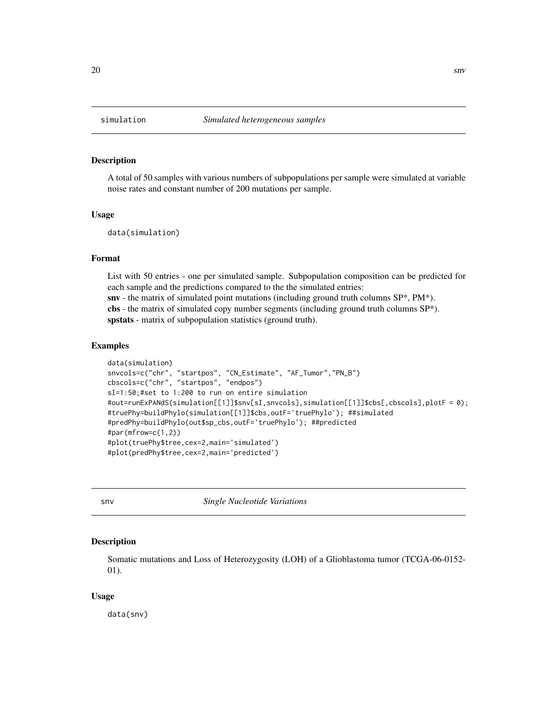#### Description

A total of 50 samples with various numbers of subpopulations per sample were simulated at variable noise rates and constant number of 200 mutations per sample.

#### Usage

data(simulation)

#### Format

List with 50 entries - one per simulated sample. Subpopulation composition can be predicted for each sample and the predictions compared to the the simulated entries:  $\textbf{snv}$  - the matrix of simulated point mutations (including ground truth columns  $SP^*$ ,  $PM^*$ ). cbs - the matrix of simulated copy number segments (including ground truth columns SP\*). spstats - matrix of subpopulation statistics (ground truth).

#### Examples

```
data(simulation)
snvcols=c("chr", "startpos", "CN_Estimate", "AF_Tumor","PN_B")
cbscols=c("chr", "startpos", "endpos")
sI=1:50;#set to 1:200 to run on entire simulation
#out=runExPANdS(simulation[[1]]$snv[sI,snvcols],simulation[[1]]$cbs[,cbscols],plotF = 0);
#truePhy=buildPhylo(simulation[[1]]$cbs,outF='truePhylo'); ##simulated
#predPhy=buildPhylo(out$sp_cbs,outF='truePhylo'); ##predicted
#par(mfrow=c(1,2))
#plot(truePhy$tree,cex=2,main='simulated')
#plot(predPhy$tree,cex=2,main='predicted')
```
snv *Single Nucleotide Variations*

#### Description

Somatic mutations and Loss of Heterozygosity (LOH) of a Glioblastoma tumor (TCGA-06-0152- 01).

#### Usage

data(snv)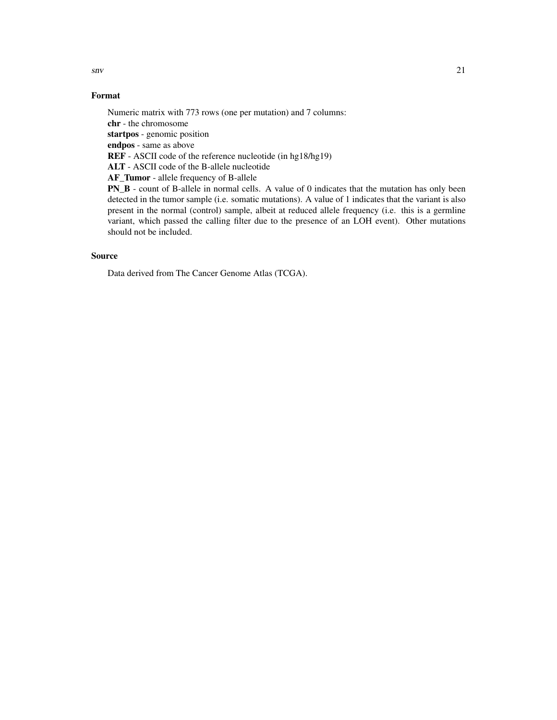$\mathbf{s}$ nv 21

#### Format

Numeric matrix with 773 rows (one per mutation) and 7 columns: chr - the chromosome startpos - genomic position endpos - same as above REF - ASCII code of the reference nucleotide (in hg18/hg19) ALT - ASCII code of the B-allele nucleotide AF\_Tumor - allele frequency of B-allele PN\_B - count of B-allele in normal cells. A value of 0 indicates that the mutation has only been detected in the tumor sample (i.e. somatic mutations). A value of 1 indicates that the variant is also present in the normal (control) sample, albeit at reduced allele frequency (i.e. this is a germline variant, which passed the calling filter due to the presence of an LOH event). Other mutations

#### Source

should not be included.

Data derived from The Cancer Genome Atlas (TCGA).